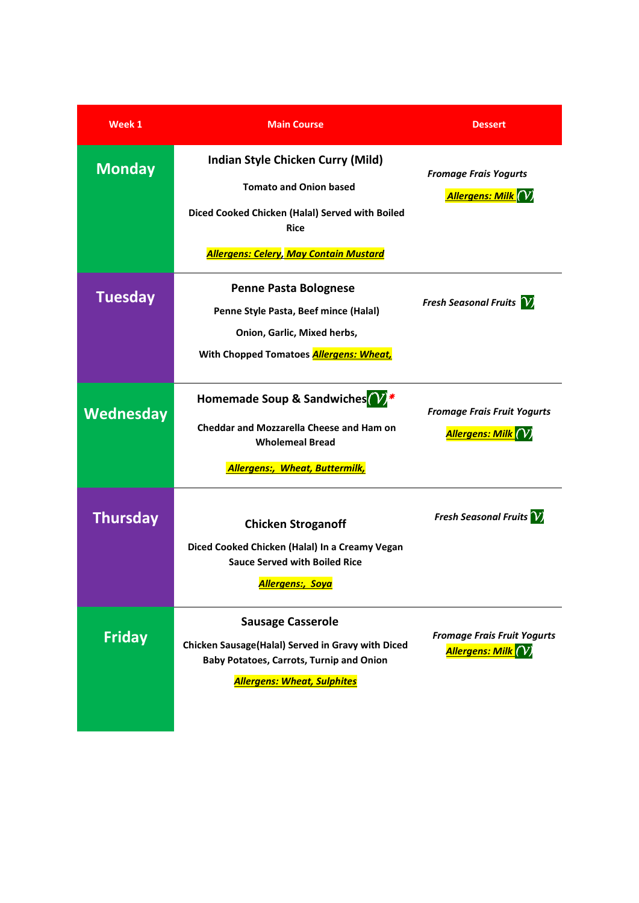| Week 1          | <b>Main Course</b>                                                                                                                                                     | <b>Dessert</b>                                                             |
|-----------------|------------------------------------------------------------------------------------------------------------------------------------------------------------------------|----------------------------------------------------------------------------|
| <b>Monday</b>   | Indian Style Chicken Curry (Mild)<br><b>Tomato and Onion based</b><br>Diced Cooked Chicken (Halal) Served with Boiled<br><b>Rice</b>                                   | <b>Fromage Frais Yogurts</b><br>Allergens: Milk (V)                        |
|                 | <b>Allergens: Celery, May Contain Mustard</b>                                                                                                                          |                                                                            |
| <b>Tuesday</b>  | <b>Penne Pasta Bolognese</b><br>Penne Style Pasta, Beef mince (Halal)<br>Onion, Garlic, Mixed herbs,<br>With Chopped Tomatoes <b>Allergens: Wheat,</b>                 | <b>Fresh Seasonal Fruits</b> V                                             |
| Wednesday       | Homemade Soup & Sandwiches <sup>(V)</sup> *<br><b>Cheddar and Mozzarella Cheese and Ham on</b><br><b>Wholemeal Bread</b><br><b>Allergens:, Wheat, Buttermilk,</b>      | <b>Fromage Frais Fruit Yogurts</b><br><mark>Allergens: Milk (</mark> V)    |
| <b>Thursday</b> | <b>Chicken Stroganoff</b><br>Diced Cooked Chicken (Halal) In a Creamy Vegan<br><b>Sauce Served with Boiled Rice</b><br><mark>Allergens:, Soya</mark>                   | <b>Fresh Seasonal Fruits</b> V                                             |
| <b>Friday</b>   | <b>Sausage Casserole</b><br>Chicken Sausage(Halal) Served in Gravy with Diced<br><b>Baby Potatoes, Carrots, Turnip and Onion</b><br><b>Allergens: Wheat, Sulphites</b> | <b>Fromage Frais Fruit Yogurts</b><br><mark>Allergens: Milk (</mark> $V$ ) |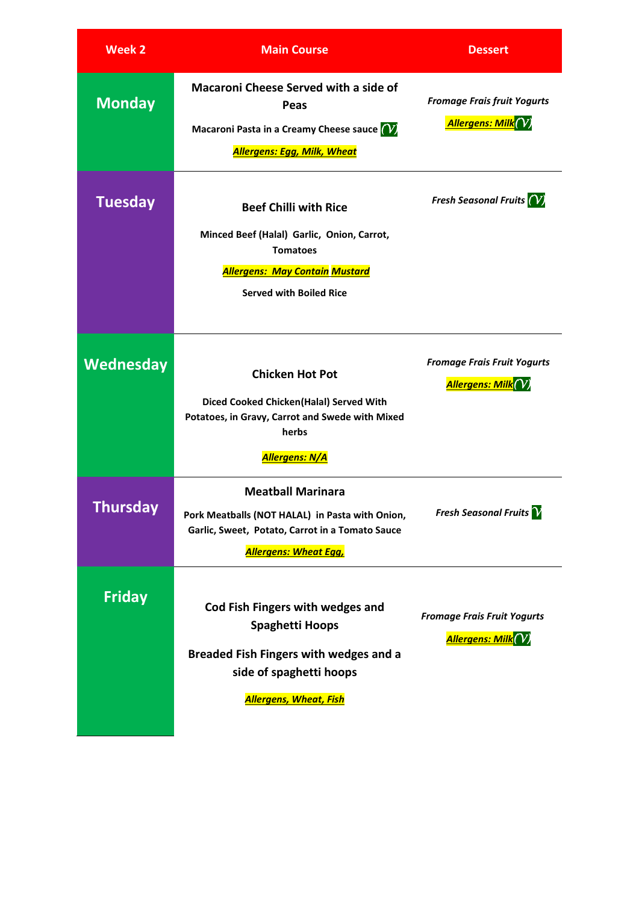| <b>Week 2</b>    | <b>Main Course</b>                                                                                                                                                            | <b>Dessert</b>                                                         |
|------------------|-------------------------------------------------------------------------------------------------------------------------------------------------------------------------------|------------------------------------------------------------------------|
| <b>Monday</b>    | <b>Macaroni Cheese Served with a side of</b><br>Peas<br>Macaroni Pasta in a Creamy Cheese sauce (V)<br><b>Allergens: Egg, Milk, Wheat</b>                                     | <b>Fromage Frais fruit Yogurts</b><br><u> Allergens: Milk</u> $(V)$    |
| <b>Tuesday</b>   | <b>Beef Chilli with Rice</b><br>Minced Beef (Halal) Garlic, Onion, Carrot,<br><b>Tomatoes</b><br><b>Allergens: May Contain Mustard</b><br><b>Served with Boiled Rice</b>      | Fresh Seasonal Fruits $(V)$                                            |
| <b>Wednesday</b> | <b>Chicken Hot Pot</b><br>Diced Cooked Chicken(Halal) Served With<br>Potatoes, in Gravy, Carrot and Swede with Mixed<br>herbs<br>Allergens: N/A                               | <b>Fromage Frais Fruit Yogurts</b><br><mark>Allergens: Milk</mark> (   |
| Thursday         | <b>Meatball Marinara</b><br>Pork Meatballs (NOT HALAL) in Pasta with Onion,<br>Garlic, Sweet, Potato, Carrot in a Tomato Sauce<br><b>Allergens: Wheat Egg,</b>                | Fresh Seasonal Fruits $\boldsymbol{\gamma}$                            |
| <b>Friday</b>    | Cod Fish Fingers with wedges and<br><b>Spaghetti Hoops</b><br><b>Breaded Fish Fingers with wedges and a</b><br>side of spaghetti hoops<br><mark>Allergens, Wheat, Fish</mark> | <b>Fromage Frais Fruit Yogurts</b><br><mark>Allergens: Milk</mark> (V) |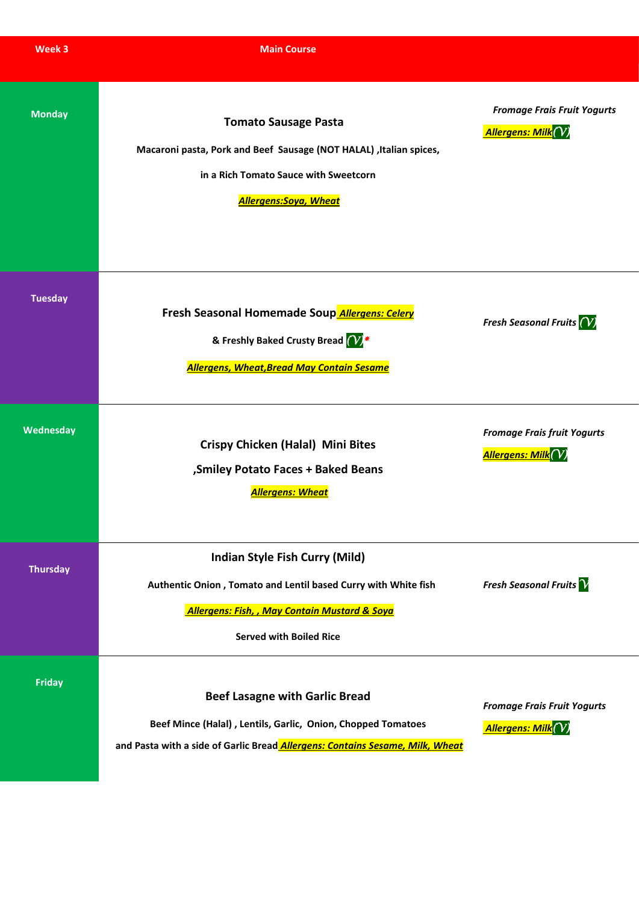| Week 3          | <b>Main Course</b>                                                                                                                                                                                    |                                                                        |
|-----------------|-------------------------------------------------------------------------------------------------------------------------------------------------------------------------------------------------------|------------------------------------------------------------------------|
| <b>Monday</b>   | <b>Tomato Sausage Pasta</b><br>Macaroni pasta, Pork and Beef Sausage (NOT HALAL) , Italian spices,<br>in a Rich Tomato Sauce with Sweetcorn<br><b>Allergens:Soya, Wheat</b>                           | <b>Fromage Frais Fruit Yogurts</b><br><mark>Allergens: Milk</mark> (V) |
| <b>Tuesday</b>  | Fresh Seasonal Homemade Soup Allergens: Celery<br>& Freshly Baked Crusty Bread (V)*<br><b>Allergens, Wheat, Bread May Contain Sesame</b>                                                              | Fresh Seasonal Fruits $(V)$                                            |
| Wednesday       | <b>Crispy Chicken (Halal) Mini Bites</b><br>, Smiley Potato Faces + Baked Beans<br><b>Allergens: Wheat</b>                                                                                            | <b>Fromage Frais fruit Yogurts</b><br><mark>Allergens: Milk</mark> (V) |
| <b>Thursday</b> | <b>Indian Style Fish Curry (Mild)</b><br>Authentic Onion, Tomato and Lentil based Curry with White fish<br><b>Allergens: Fish, , May Contain Mustard &amp; Soya</b><br><b>Served with Boiled Rice</b> | <b>Fresh Seasonal Fruits</b>                                           |
| <b>Friday</b>   | <b>Beef Lasagne with Garlic Bread</b><br>Beef Mince (Halal), Lentils, Garlic, Onion, Chopped Tomatoes<br>and Pasta with a side of Garlic Bread Allergens: Contains Sesame, Milk, Wheat                | <b>Fromage Frais Fruit Yogurts</b><br><mark>Allergens: Milk</mark> (V) |